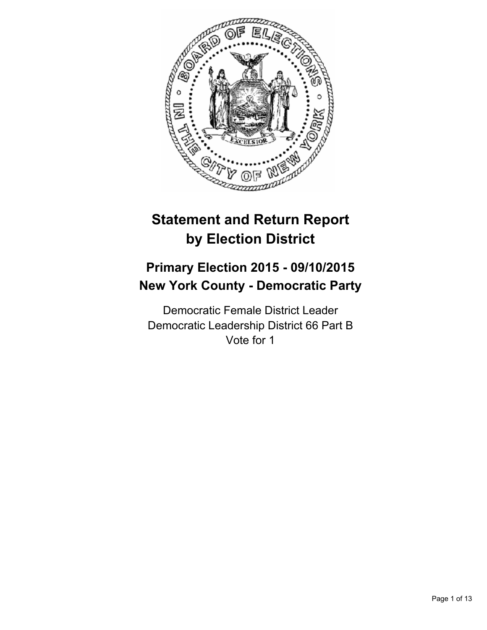

# **Statement and Return Report by Election District**

## **Primary Election 2015 - 09/10/2015 New York County - Democratic Party**

Democratic Female District Leader Democratic Leadership District 66 Part B Vote for 1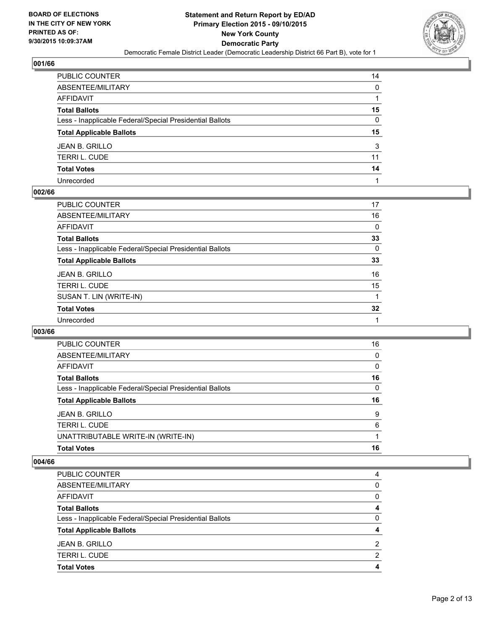

| PUBLIC COUNTER                                           | 14           |
|----------------------------------------------------------|--------------|
| ABSENTEE/MILITARY                                        | $\mathbf{0}$ |
| AFFIDAVIT                                                |              |
| Total Ballots                                            | 15           |
| Less - Inapplicable Federal/Special Presidential Ballots | 0            |
| <b>Total Applicable Ballots</b>                          | 15           |
| JEAN B. GRILLO                                           | 3            |
| TERRI L. CUDE                                            | 11           |
| <b>Total Votes</b>                                       | 14           |
| Unrecorded                                               |              |

#### **002/66**

| PUBLIC COUNTER                                           | 17 |
|----------------------------------------------------------|----|
| ABSENTEE/MILITARY                                        | 16 |
| AFFIDAVIT                                                | 0  |
| <b>Total Ballots</b>                                     | 33 |
| Less - Inapplicable Federal/Special Presidential Ballots | 0  |
| <b>Total Applicable Ballots</b>                          | 33 |
| JEAN B. GRILLO                                           | 16 |
| TERRI L. CUDE                                            | 15 |
| SUSAN T. LIN (WRITE-IN)                                  |    |
| <b>Total Votes</b>                                       | 32 |
| Unrecorded                                               |    |
|                                                          |    |

#### **003/66**

| PUBLIC COUNTER                                           | 16       |
|----------------------------------------------------------|----------|
| ABSENTEE/MILITARY                                        | 0        |
| AFFIDAVIT                                                | $\Omega$ |
| <b>Total Ballots</b>                                     | 16       |
| Less - Inapplicable Federal/Special Presidential Ballots | $\Omega$ |
| <b>Total Applicable Ballots</b>                          | 16       |
| <b>JEAN B. GRILLO</b>                                    | 9        |
| TERRI L. CUDE                                            | 6        |
|                                                          |          |
| UNATTRIBUTABLE WRITE-IN (WRITE-IN)                       |          |

| <b>PUBLIC COUNTER</b>                                    | 4 |
|----------------------------------------------------------|---|
| ABSENTEE/MILITARY                                        | 0 |
| <b>AFFIDAVIT</b>                                         | 0 |
| <b>Total Ballots</b>                                     | 4 |
| Less - Inapplicable Federal/Special Presidential Ballots | 0 |
| <b>Total Applicable Ballots</b>                          | 4 |
| <b>JEAN B. GRILLO</b>                                    | 2 |
| <b>TERRI L. CUDE</b>                                     | 2 |
| <b>Total Votes</b>                                       | 4 |
|                                                          |   |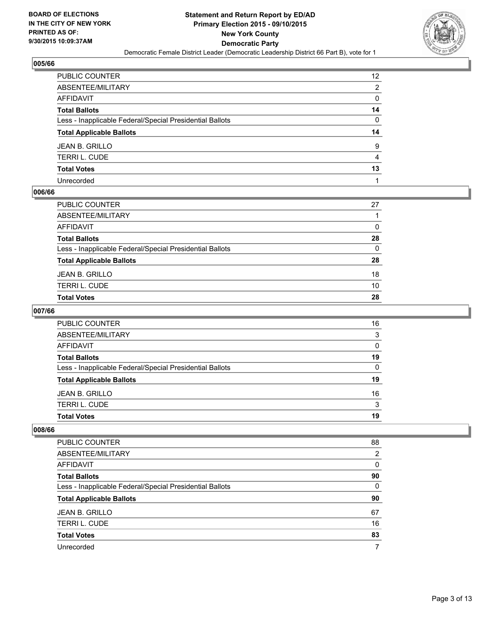

| PUBLIC COUNTER                                           | 12 <sup>2</sup> |
|----------------------------------------------------------|-----------------|
| ABSENTEE/MILITARY                                        | 2               |
| AFFIDAVIT                                                | 0               |
| Total Ballots                                            | 14              |
| Less - Inapplicable Federal/Special Presidential Ballots | 0               |
| <b>Total Applicable Ballots</b>                          | 14              |
| JEAN B. GRILLO                                           | 9               |
| TERRI L. CUDE                                            | 4               |
| <b>Total Votes</b>                                       | 13              |
| Unrecorded                                               |                 |

## **006/66**

| PUBLIC COUNTER                                           | 27 |
|----------------------------------------------------------|----|
| ABSENTEE/MILITARY                                        |    |
| AFFIDAVIT                                                | 0  |
| Total Ballots                                            | 28 |
| Less - Inapplicable Federal/Special Presidential Ballots | 0  |
| <b>Total Applicable Ballots</b>                          | 28 |
| JEAN B. GRILLO                                           | 18 |
| TERRI L. CUDE                                            | 10 |
| Total Votes                                              | 28 |
|                                                          |    |

## **007/66**

| <b>Total Votes</b>                                       | 19       |
|----------------------------------------------------------|----------|
| <b>TERRI L. CUDE</b>                                     | 3        |
| <b>JEAN B. GRILLO</b>                                    | 16       |
| <b>Total Applicable Ballots</b>                          | 19       |
| Less - Inapplicable Federal/Special Presidential Ballots | $\Omega$ |
| <b>Total Ballots</b>                                     | 19       |
| AFFIDAVIT                                                | $\Omega$ |
| ABSENTEE/MILITARY                                        | 3        |
| PUBLIC COUNTER                                           | 16       |

| <b>PUBLIC COUNTER</b>                                    | 88 |
|----------------------------------------------------------|----|
|                                                          |    |
| ABSENTEE/MILITARY                                        | 2  |
| AFFIDAVIT                                                | 0  |
| <b>Total Ballots</b>                                     | 90 |
| Less - Inapplicable Federal/Special Presidential Ballots | 0  |
| <b>Total Applicable Ballots</b>                          | 90 |
|                                                          |    |
| <b>JEAN B. GRILLO</b>                                    | 67 |
| <b>TERRIL, CUDE</b>                                      | 16 |
| <b>Total Votes</b>                                       | 83 |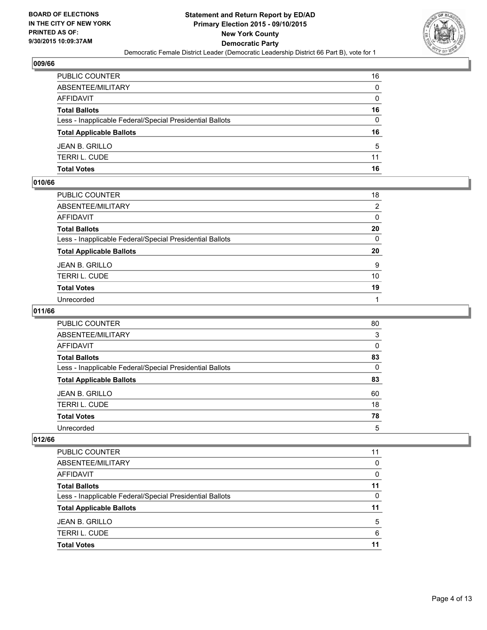

| PUBLIC COUNTER                                           | 16           |
|----------------------------------------------------------|--------------|
| ABSENTEE/MILITARY                                        | $\mathbf{0}$ |
| AFFIDAVIT                                                | $\mathbf{0}$ |
| Total Ballots                                            | 16           |
| Less - Inapplicable Federal/Special Presidential Ballots | $\Omega$     |
| <b>Total Applicable Ballots</b>                          | 16           |
| JEAN B. GRILLO                                           | 5            |
| TERRI L. CUDE                                            | 11           |
| Total Votes                                              | 16           |

#### **010/66**

| PUBLIC COUNTER                                           | 18             |
|----------------------------------------------------------|----------------|
| ABSENTEE/MILITARY                                        | $\overline{2}$ |
| AFFIDAVIT                                                | 0              |
| Total Ballots                                            | 20             |
| Less - Inapplicable Federal/Special Presidential Ballots | $\mathbf{0}$   |
| <b>Total Applicable Ballots</b>                          | 20             |
| JEAN B. GRILLO                                           | 9              |
| TERRI L. CUDE                                            | 10             |
| <b>Total Votes</b>                                       | 19             |
| Unrecorded                                               |                |
|                                                          |                |

## **011/66**

| <b>PUBLIC COUNTER</b>                                    | 80       |
|----------------------------------------------------------|----------|
| ABSENTEE/MILITARY                                        | 3        |
| AFFIDAVIT                                                | $\Omega$ |
| <b>Total Ballots</b>                                     | 83       |
| Less - Inapplicable Federal/Special Presidential Ballots | 0        |
| <b>Total Applicable Ballots</b>                          | 83       |
| <b>JEAN B. GRILLO</b>                                    | 60       |
| <b>TERRI L. CUDE</b>                                     | 18       |
| <b>Total Votes</b>                                       | 78       |
| Unrecorded                                               | 5        |

| PUBLIC COUNTER                                           | 11 |
|----------------------------------------------------------|----|
| ABSENTEE/MILITARY                                        | 0  |
| <b>AFFIDAVIT</b>                                         | 0  |
| <b>Total Ballots</b>                                     | 11 |
| Less - Inapplicable Federal/Special Presidential Ballots | 0  |
| <b>Total Applicable Ballots</b>                          | 11 |
| JEAN B. GRILLO                                           | 5  |
| <b>TERRI L. CUDE</b>                                     | 6  |
| <b>Total Votes</b>                                       | 11 |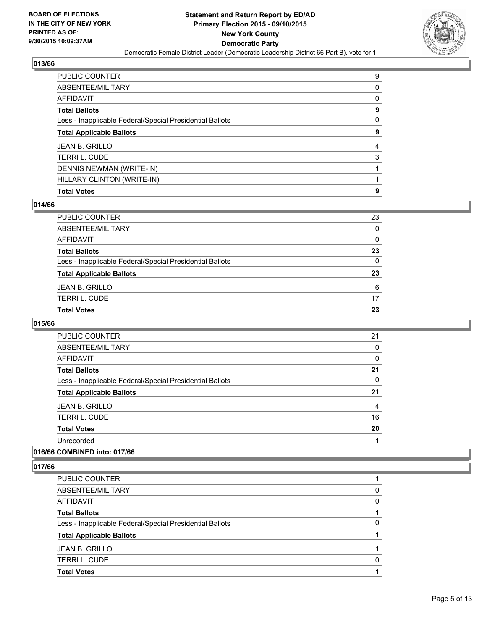

| PUBLIC COUNTER                                           | 9 |
|----------------------------------------------------------|---|
| ABSENTEE/MILITARY                                        | 0 |
| AFFIDAVIT                                                | 0 |
| Total Ballots                                            | 9 |
| Less - Inapplicable Federal/Special Presidential Ballots | 0 |
| <b>Total Applicable Ballots</b>                          | 9 |
| JEAN B. GRILLO                                           | 4 |
| TERRI L. CUDE                                            | 3 |
| DENNIS NEWMAN (WRITE-IN)                                 |   |
| HILLARY CLINTON (WRITE-IN)                               |   |
| <b>Total Votes</b>                                       | 9 |

#### **014/66**

| PUBLIC COUNTER                                           | 23 |
|----------------------------------------------------------|----|
| ABSENTEE/MILITARY                                        | 0  |
| AFFIDAVIT                                                | 0  |
| Total Ballots                                            | 23 |
| Less - Inapplicable Federal/Special Presidential Ballots | 0  |
| <b>Total Applicable Ballots</b>                          | 23 |
| JEAN B. GRILLO                                           | 6  |
| TERRI L. CUDE                                            | 17 |
| <b>Total Votes</b>                                       | 23 |
|                                                          |    |

### **015/66**

| <b>PUBLIC COUNTER</b>                                    | 21 |
|----------------------------------------------------------|----|
| ABSENTEE/MILITARY                                        | 0  |
| AFFIDAVIT                                                | 0  |
| <b>Total Ballots</b>                                     | 21 |
| Less - Inapplicable Federal/Special Presidential Ballots | 0  |
| <b>Total Applicable Ballots</b>                          | 21 |
| JEAN B. GRILLO                                           | 4  |
| <b>TERRIL, CUDE</b>                                      | 16 |
| <b>Total Votes</b>                                       | 20 |
| Unrecorded                                               |    |
|                                                          |    |

## **016/66 COMBINED into: 017/66**

| PUBLIC COUNTER                                           |   |
|----------------------------------------------------------|---|
| ABSENTEE/MILITARY                                        | 0 |
| AFFIDAVIT                                                | 0 |
| <b>Total Ballots</b>                                     |   |
| Less - Inapplicable Federal/Special Presidential Ballots | 0 |
| <b>Total Applicable Ballots</b>                          |   |
| JEAN B. GRILLO                                           |   |
| <b>TERRI L. CUDE</b>                                     | 0 |
| <b>Total Votes</b>                                       |   |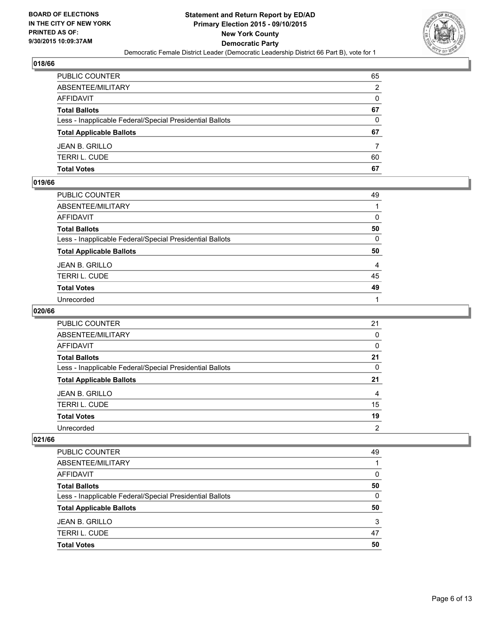

| PUBLIC COUNTER                                           | 65           |
|----------------------------------------------------------|--------------|
| ABSENTEE/MILITARY                                        | 2            |
| AFFIDAVIT                                                | $\mathbf{0}$ |
| Total Ballots                                            | 67           |
| Less - Inapplicable Federal/Special Presidential Ballots | $\Omega$     |
| <b>Total Applicable Ballots</b>                          | 67           |
| JEAN B. GRILLO                                           |              |
| TERRI L. CUDE                                            | 60           |
| Total Votes                                              | 67           |

## **019/66**

| PUBLIC COUNTER                                           | 49           |
|----------------------------------------------------------|--------------|
| ABSENTEE/MILITARY                                        | 1            |
| AFFIDAVIT                                                | 0            |
| Total Ballots                                            | 50           |
| Less - Inapplicable Federal/Special Presidential Ballots | 0            |
| <b>Total Applicable Ballots</b>                          | 50           |
| JEAN B. GRILLO                                           | 4            |
| TERRI L. CUDE                                            | 45           |
| <b>Total Votes</b>                                       | 49           |
| Unrecorded                                               | $\mathbf{1}$ |

## **020/66**

| <b>PUBLIC COUNTER</b>                                    | 21             |
|----------------------------------------------------------|----------------|
| ABSENTEE/MILITARY                                        | 0              |
| AFFIDAVIT                                                | 0              |
| <b>Total Ballots</b>                                     | 21             |
| Less - Inapplicable Federal/Special Presidential Ballots | 0              |
| <b>Total Applicable Ballots</b>                          | 21             |
| JEAN B. GRILLO                                           | 4              |
| <b>TERRI L. CUDE</b>                                     | 15             |
| <b>Total Votes</b>                                       | 19             |
| Unrecorded                                               | $\overline{2}$ |

| PUBLIC COUNTER                                           | 49 |
|----------------------------------------------------------|----|
| ABSENTEE/MILITARY                                        |    |
| <b>AFFIDAVIT</b>                                         | 0  |
| <b>Total Ballots</b>                                     | 50 |
| Less - Inapplicable Federal/Special Presidential Ballots | 0  |
| <b>Total Applicable Ballots</b>                          | 50 |
| <b>JEAN B. GRILLO</b>                                    | 3  |
| <b>TERRI L. CUDE</b>                                     | 47 |
| <b>Total Votes</b>                                       | 50 |
|                                                          |    |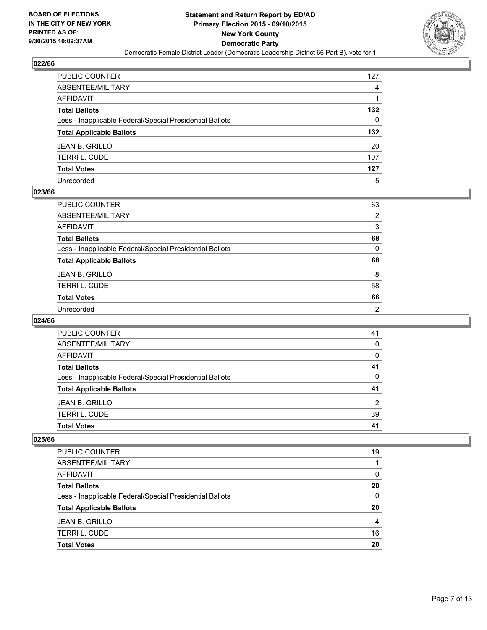

| PUBLIC COUNTER                                           | 127 |
|----------------------------------------------------------|-----|
| ABSENTEE/MILITARY                                        | 4   |
| AFFIDAVIT                                                |     |
| Total Ballots                                            | 132 |
| Less - Inapplicable Federal/Special Presidential Ballots | 0   |
| <b>Total Applicable Ballots</b>                          | 132 |
| JEAN B. GRILLO                                           | 20  |
| TERRI L. CUDE                                            | 107 |
| <b>Total Votes</b>                                       | 127 |
| Unrecorded                                               | 5   |

#### **023/66**

| 63             |
|----------------|
| $\overline{2}$ |
| 3              |
| 68             |
| 0              |
| 68             |
| 8              |
| 58             |
| 66             |
|                |
|                |

#### **024/66**

| PUBLIC COUNTER                                           | 41 |
|----------------------------------------------------------|----|
| ABSENTEE/MILITARY                                        | 0  |
| <b>AFFIDAVIT</b>                                         | 0  |
| <b>Total Ballots</b>                                     | 41 |
| Less - Inapplicable Federal/Special Presidential Ballots | 0  |
| <b>Total Applicable Ballots</b>                          | 41 |
| <b>JEAN B. GRILLO</b>                                    | 2  |
| <b>TERRI L. CUDE</b>                                     | 39 |
| <b>Total Votes</b>                                       | 41 |

| PUBLIC COUNTER                                           | 19 |
|----------------------------------------------------------|----|
| ABSENTEE/MILITARY                                        |    |
| AFFIDAVIT                                                | 0  |
| <b>Total Ballots</b>                                     | 20 |
| Less - Inapplicable Federal/Special Presidential Ballots | 0  |
| <b>Total Applicable Ballots</b>                          | 20 |
| <b>JEAN B. GRILLO</b>                                    | 4  |
| <b>TERRI L. CUDE</b>                                     | 16 |
| <b>Total Votes</b>                                       | 20 |
|                                                          |    |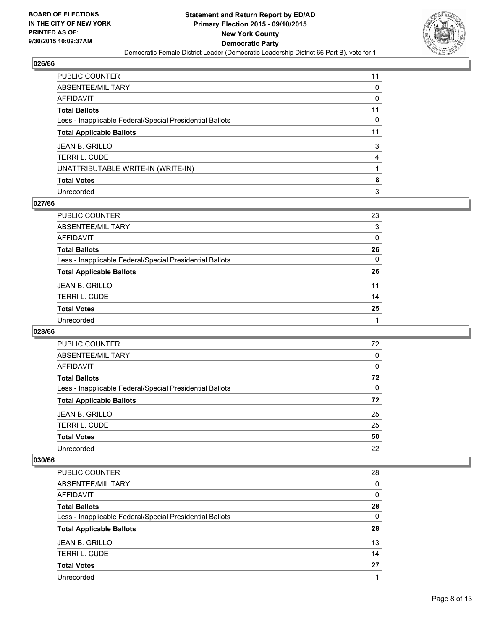

| PUBLIC COUNTER                                           | 11 |
|----------------------------------------------------------|----|
| ABSENTEE/MILITARY                                        | 0  |
| AFFIDAVIT                                                | 0  |
| Total Ballots                                            | 11 |
| Less - Inapplicable Federal/Special Presidential Ballots | 0  |
| <b>Total Applicable Ballots</b>                          | 11 |
| JEAN B. GRILLO                                           | 3  |
| TERRI L. CUDE                                            | 4  |
| UNATTRIBUTABLE WRITE-IN (WRITE-IN)                       |    |
| Total Votes                                              | 8  |
| Unrecorded                                               | 3  |

#### **027/66**

| PUBLIC COUNTER                                           | 23           |
|----------------------------------------------------------|--------------|
| ABSENTEE/MILITARY                                        | 3            |
| <b>AFFIDAVIT</b>                                         | 0            |
| <b>Total Ballots</b>                                     | 26           |
| Less - Inapplicable Federal/Special Presidential Ballots | $\mathbf{0}$ |
| <b>Total Applicable Ballots</b>                          | 26           |
| <b>JEAN B. GRILLO</b>                                    | 11           |
| <b>TERRI L. CUDE</b>                                     | 14           |
| <b>Total Votes</b>                                       | 25           |
| Unrecorded                                               |              |
|                                                          |              |

#### **028/66**

| PUBLIC COUNTER                                           | 72 |
|----------------------------------------------------------|----|
| ABSENTEE/MILITARY                                        | 0  |
| <b>AFFIDAVIT</b>                                         | 0  |
| <b>Total Ballots</b>                                     | 72 |
| Less - Inapplicable Federal/Special Presidential Ballots | 0  |
| <b>Total Applicable Ballots</b>                          | 72 |
| <b>JEAN B. GRILLO</b>                                    | 25 |
| <b>TERRIL, CUDE</b>                                      | 25 |
| <b>Total Votes</b>                                       | 50 |
| Unrecorded                                               | 22 |

| PUBLIC COUNTER                                           | 28 |
|----------------------------------------------------------|----|
| ABSENTEE/MILITARY                                        | 0  |
| <b>AFFIDAVIT</b>                                         | 0  |
| <b>Total Ballots</b>                                     | 28 |
| Less - Inapplicable Federal/Special Presidential Ballots | 0  |
| <b>Total Applicable Ballots</b>                          | 28 |
|                                                          |    |
| <b>JEAN B. GRILLO</b>                                    | 13 |
| <b>TERRI L. CUDE</b>                                     | 14 |
| <b>Total Votes</b>                                       | 27 |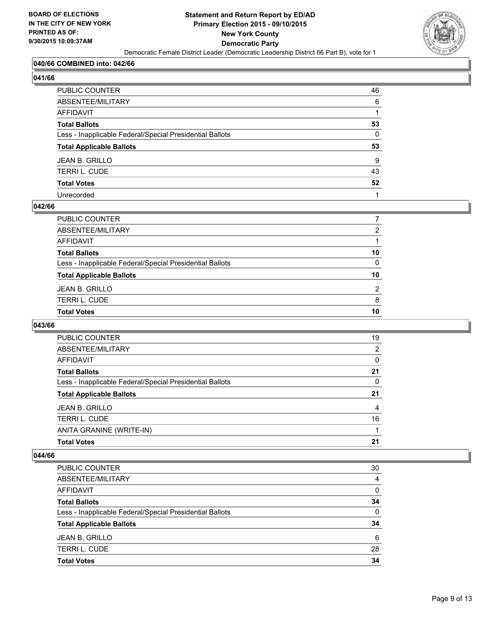

## **040/66 COMBINED into: 042/66**

| и<br>41<br>6<br>'<br>ı |
|------------------------|
|------------------------|

| PUBLIC COUNTER                                           | 46 |
|----------------------------------------------------------|----|
| ABSENTEE/MILITARY                                        | 6  |
| AFFIDAVIT                                                |    |
| <b>Total Ballots</b>                                     | 53 |
| Less - Inapplicable Federal/Special Presidential Ballots | 0  |
| <b>Total Applicable Ballots</b>                          | 53 |
| JEAN B. GRILLO                                           | 9  |
| TERRI L. CUDE                                            | 43 |
| <b>Total Votes</b>                                       | 52 |
| Unrecorded                                               |    |

#### **042/66**

| PUBLIC COUNTER                                           |                |
|----------------------------------------------------------|----------------|
| ABSENTEE/MILITARY                                        | 2              |
| AFFIDAVIT                                                |                |
| <b>Total Ballots</b>                                     | 10             |
| Less - Inapplicable Federal/Special Presidential Ballots | $\mathbf{0}$   |
| <b>Total Applicable Ballots</b>                          | 10             |
| JEAN B. GRILLO                                           | $\overline{2}$ |
| TERRI L. CUDE                                            | 8              |
| <b>Total Votes</b>                                       | 10             |
|                                                          |                |

#### **043/66**

| 19 |
|----|
| 2  |
| 0  |
| 21 |
| 0  |
| 21 |
| 4  |
| 16 |
|    |
| 21 |
|    |

| PUBLIC COUNTER                                           | 30 |
|----------------------------------------------------------|----|
| ABSENTEE/MILITARY                                        | 4  |
| <b>AFFIDAVIT</b>                                         | 0  |
| <b>Total Ballots</b>                                     | 34 |
| Less - Inapplicable Federal/Special Presidential Ballots | 0  |
| <b>Total Applicable Ballots</b>                          | 34 |
| <b>JEAN B. GRILLO</b>                                    | 6  |
| <b>TERRI L. CUDE</b>                                     | 28 |
| <b>Total Votes</b>                                       | 34 |
|                                                          |    |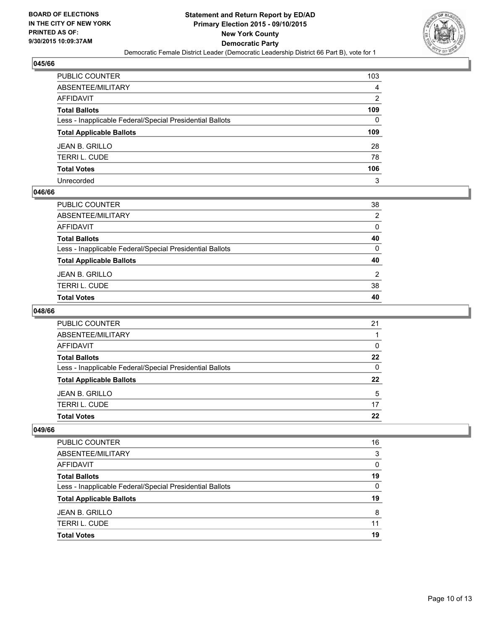

| PUBLIC COUNTER                                           | 103 |
|----------------------------------------------------------|-----|
| ABSENTEE/MILITARY                                        | 4   |
| AFFIDAVIT                                                | 2   |
| Total Ballots                                            | 109 |
| Less - Inapplicable Federal/Special Presidential Ballots | 0   |
| <b>Total Applicable Ballots</b>                          | 109 |
| JEAN B. GRILLO                                           | 28  |
| TERRI L. CUDE                                            | 78  |
| <b>Total Votes</b>                                       | 106 |
| Unrecorded                                               | 3   |

#### **046/66**

| PUBLIC COUNTER                                           | 38             |
|----------------------------------------------------------|----------------|
| ABSENTEE/MILITARY                                        | 2              |
| AFFIDAVIT                                                | 0              |
| Total Ballots                                            | 40             |
| Less - Inapplicable Federal/Special Presidential Ballots | $\Omega$       |
| <b>Total Applicable Ballots</b>                          | 40             |
| JEAN B. GRILLO                                           | $\overline{2}$ |
| TERRI L. CUDE                                            | 38             |
| Total Votes                                              | 40             |
|                                                          |                |

## **048/66**

| PUBLIC COUNTER                                           | 21 |
|----------------------------------------------------------|----|
| ABSENTEE/MILITARY                                        |    |
| AFFIDAVIT                                                | 0  |
| <b>Total Ballots</b>                                     | 22 |
| Less - Inapplicable Federal/Special Presidential Ballots | 0  |
| <b>Total Applicable Ballots</b>                          | 22 |
| <b>JEAN B. GRILLO</b>                                    | 5  |
| <b>TERRI L. CUDE</b>                                     | 17 |
| <b>Total Votes</b>                                       | 22 |

| PUBLIC COUNTER                                           | 16 |
|----------------------------------------------------------|----|
| ABSENTEE/MILITARY                                        | 3  |
| AFFIDAVIT                                                | 0  |
| <b>Total Ballots</b>                                     | 19 |
| Less - Inapplicable Federal/Special Presidential Ballots | 0  |
| <b>Total Applicable Ballots</b>                          | 19 |
| JEAN B. GRILLO                                           | 8  |
| <b>TERRI L. CUDE</b>                                     | 11 |
| <b>Total Votes</b>                                       | 19 |
|                                                          |    |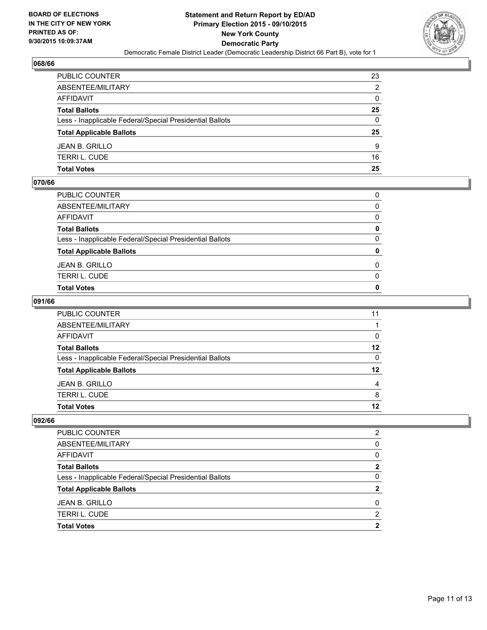

| PUBLIC COUNTER                                           | 23           |
|----------------------------------------------------------|--------------|
| ABSENTEE/MILITARY                                        | 2            |
| AFFIDAVIT                                                | $\mathbf{0}$ |
| Total Ballots                                            | 25           |
| Less - Inapplicable Federal/Special Presidential Ballots | $\Omega$     |
| <b>Total Applicable Ballots</b>                          | 25           |
| JEAN B. GRILLO                                           | 9            |
| TERRI L. CUDE                                            | 16           |
| Total Votes                                              | 25           |

## **070/66**

| PUBLIC COUNTER                                           | $\Omega$     |
|----------------------------------------------------------|--------------|
| ABSENTEE/MILITARY                                        | $\Omega$     |
| AFFIDAVIT                                                | $\Omega$     |
| <b>Total Ballots</b>                                     | 0            |
| Less - Inapplicable Federal/Special Presidential Ballots | $\mathbf{0}$ |
| <b>Total Applicable Ballots</b>                          | $\mathbf{0}$ |
| JEAN B. GRILLO                                           | $\Omega$     |
| TERRI L. CUDE                                            | 0            |
| Total Votes                                              | 0            |
|                                                          |              |

## **091/66**

| PUBLIC COUNTER                                           | 11       |
|----------------------------------------------------------|----------|
| ABSENTEE/MILITARY                                        |          |
| AFFIDAVIT                                                | 0        |
| <b>Total Ballots</b>                                     | $12 \,$  |
| Less - Inapplicable Federal/Special Presidential Ballots | $\Omega$ |
| <b>Total Applicable Ballots</b>                          | 12       |
| JEAN B. GRILLO                                           | 4        |
| TERRI L. CUDE                                            | 8        |
| Total Votes                                              | 12       |
|                                                          |          |

| PUBLIC COUNTER                                           | 2 |
|----------------------------------------------------------|---|
| ABSENTEE/MILITARY                                        | 0 |
| AFFIDAVIT                                                | 0 |
| <b>Total Ballots</b>                                     | 2 |
| Less - Inapplicable Federal/Special Presidential Ballots | 0 |
| <b>Total Applicable Ballots</b>                          | 2 |
| <b>JEAN B. GRILLO</b>                                    | 0 |
| <b>TERRI L. CUDE</b>                                     | 2 |
| <b>Total Votes</b>                                       | 2 |
|                                                          |   |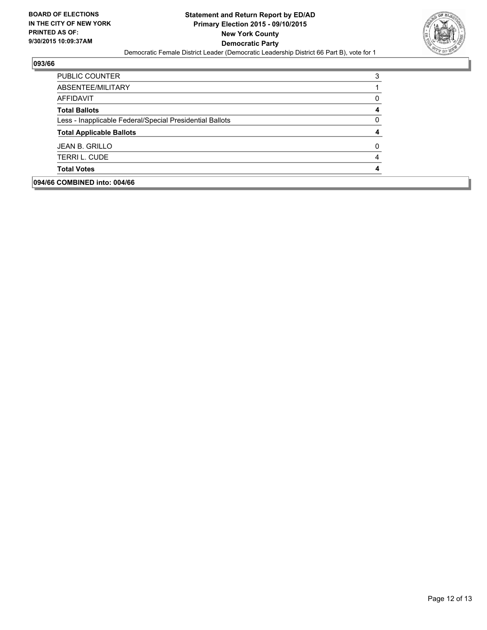

| 094/66 COMBINED into: 004/66                             |   |
|----------------------------------------------------------|---|
| <b>Total Votes</b>                                       |   |
| <b>TERRI L. CUDE</b>                                     | 4 |
| <b>JEAN B. GRILLO</b>                                    | 0 |
| <b>Total Applicable Ballots</b>                          | 4 |
| Less - Inapplicable Federal/Special Presidential Ballots | 0 |
| <b>Total Ballots</b>                                     | 4 |
| AFFIDAVIT                                                | 0 |
| ABSENTEE/MILITARY                                        |   |
| PUBLIC COUNTER                                           | 3 |